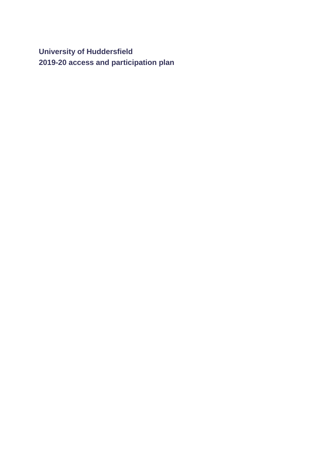**University of Huddersfield 2019-20 access and participation plan**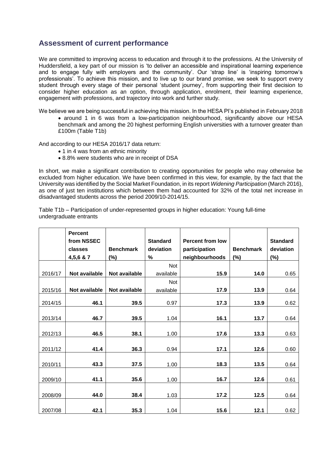# **Assessment of current performance**

We are committed to improving access to education and through it to the professions. At the University of Huddersfield, a key part of our mission is 'to deliver an accessible and inspirational learning experience and to engage fully with employers and the community'. Our 'strap line' is 'inspiring tomorrow's professionals'. To achieve this mission, and to live up to our brand promise, we seek to support every student through every stage of their personal 'student journey', from supporting their first decision to consider higher education as an option, through application, enrolment, their learning experience, engagement with professions, and trajectory into work and further study.

We believe we are being successful in achieving this mission. In the HESA PI's published in February 2018

• around 1 in 6 was from a low-participation neighbourhood, significantly above our HESA benchmark and among the 20 highest performing English universities with a turnover greater than £100m (Table T1b)

And according to our HESA 2016/17 data return:

- 1 in 4 was from an ethnic minority
- 8.8% were students who are in receipt of DSA

In short, we make a significant contribution to creating opportunities for people who may otherwise be excluded from higher education. We have been confirmed in this view, for example, by the fact that the University was identified by the Social Market Foundation, in its report *Widening Participation* (March 2016), as one of just ten institutions which between them had accounted for 32% of the total net increase in disadvantaged students across the period 2009/10-2014/15.

Table T1b – Participation of under-represented groups in higher education: Young full-time undergraduate entrants

|         | <b>Percent</b> |                      |                 |                         |                  |                 |
|---------|----------------|----------------------|-----------------|-------------------------|------------------|-----------------|
|         | from NSSEC     |                      | <b>Standard</b> | <b>Percent from low</b> |                  | <b>Standard</b> |
|         | classes        | <b>Benchmark</b>     | deviation       | participation           | <b>Benchmark</b> | deviation       |
|         | 4,5,6 & 7      | $(\%)$               | $\%$            | neighbourhoods          | (%)              | (%)             |
|         |                |                      | <b>Not</b>      |                         |                  |                 |
| 2016/17 | Not available  | <b>Not available</b> | available       | 15.9                    | 14.0             | 0.65            |
|         |                |                      | Not             |                         |                  |                 |
| 2015/16 | Not available  | Not available        | available       | 17.9                    | 13.9             | 0.64            |
| 2014/15 | 46.1           | 39.5                 | 0.97            | 17.3                    | 13.9             | 0.62            |
|         |                |                      |                 |                         |                  |                 |
| 2013/14 | 46.7           | 39.5                 | 1.04            | 16.1                    | 13.7             | 0.64            |
|         |                |                      |                 |                         |                  |                 |
| 2012/13 | 46.5           | 38.1                 | 1.00            | 17.6                    | 13.3             | 0.63            |
|         |                |                      |                 |                         |                  |                 |
| 2011/12 | 41.4           | 36.3                 | 0.94            | 17.1                    | 12.6             | 0.60            |
|         |                |                      |                 |                         |                  |                 |
| 2010/11 | 43.3           | 37.5                 | 1.00            | 18.3                    | 13.5             | 0.64            |
|         |                |                      |                 |                         |                  |                 |
| 2009/10 | 41.1           | 35.6                 | 1.00            | 16.7                    | 12.6             | 0.61            |
|         |                |                      |                 |                         |                  |                 |
| 2008/09 | 44.0           | 38.4                 | 1.03            | 17.2                    | 12.5             | 0.64            |
|         |                |                      |                 |                         |                  |                 |
| 2007/08 | 42.1           | 35.3                 | 1.04            | 15.6                    | 12.1             | 0.62            |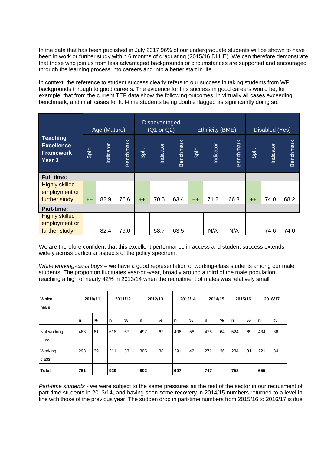In the data that has been published in July 2017 96% of our undergraduate students will be shown to have been in work or further study within 6 months of graduating (2015/16 DLHE). We can therefore demonstrate that those who join us from less advantaged backgrounds or circumstances are supported and encouraged through the learning process into careers and into a better start in life.

In context, the reference to student success clearly refers to our success in taking students from WP backgrounds through to good careers. The evidence for this success in good careers would be, for example, that from the current TEF data show the following outcomes, in virtually all cases exceeding benchmark, and in all cases for full-time students being double flagged as significantly doing so:

|                                                                    |       | Age (Mature)     |           |       | Disadvantaged<br>(Q1 or Q2) |           |       | Ethnicity (BME) |           |       | Disabled (Yes) |           |
|--------------------------------------------------------------------|-------|------------------|-----------|-------|-----------------------------|-----------|-------|-----------------|-----------|-------|----------------|-----------|
| <b>Teaching</b><br><b>Excellence</b><br><b>Framework</b><br>Year 3 | Split | <b>Indicator</b> | Benchmark | Split | Indicator                   | Benchmark | Split | Indicator       | Benchmark | Split | Indicator      | Benchmark |
| <b>Full-time:</b>                                                  |       |                  |           |       |                             |           |       |                 |           |       |                |           |
| <b>Highly skilled</b><br>employment or                             |       |                  |           |       |                             |           |       |                 |           |       |                |           |
| further study                                                      | $++$  | 82.9             | 76.6      | $++$  | 70.5                        | 63.4      | $++$  | 71.2            | 66.3      | $++$  | 74.0           | 68.2      |
| <b>Part-time:</b>                                                  |       |                  |           |       |                             |           |       |                 |           |       |                |           |
| <b>Highly skilled</b>                                              |       |                  |           |       |                             |           |       |                 |           |       |                |           |
| employment or<br>further study                                     |       | 82.4             | 79.0      |       | 58.7                        | 63.5      |       | N/A             | N/A       |       | 74.6           | 74.0      |
|                                                                    |       |                  |           |       |                             |           |       |                 |           |       |                |           |

We are therefore confident that this excellent performance in access and student success extends widely across particular aspects of the policy spectrum:

*White working-class boys* – we have a good representation of working-class students among our male students. The proportion fluctuates year-on-year, broadly around a third of the male population, reaching a high of nearly 42% in 2013/14 when the recruitment of males was relatively small.

| White<br>male        |     | 2010/11 |          | 2011/12 | 2012/13 |    |     | 2013/14 | 2014/15 |    | 2015/16 |    |             | 2016/17 |
|----------------------|-----|---------|----------|---------|---------|----|-----|---------|---------|----|---------|----|-------------|---------|
|                      | n   | %       | <b>n</b> | %       | n       | %  | n   | %       | n       | %  | n       | %  | $\mathbf n$ | %       |
| Not working<br>class | 463 | 61      | 618      | 67      | 497     | 62 | 406 | 58      | 476     | 64 | 524     | 69 | 434         | 66      |
| Working<br>class     | 298 | 39      | 311      | 33      | 305     | 38 | 291 | 42      | 271     | 36 | 234     | 31 | 221         | 34      |
| <b>Total</b>         | 761 |         | 929      |         | 802     |    | 697 |         | 747     |    | 758     |    | 655         |         |

*Part-time students* - we were subject to the same pressures as the rest of the sector in our recruitment of part-time students in 2013/14, and having seen some recovery in 2014/15 numbers returned to a level in line with those of the previous year. The sudden drop in part-time numbers from 2015/16 to 2016/17 is due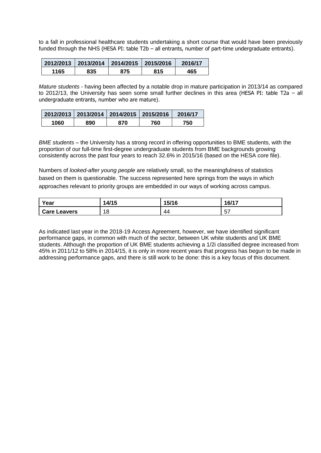to a fall in professional healthcare students undertaking a short course that would have been previously funded through the NHS (HESA PI: table T2b – all entrants, number of part-time undergraduate entrants).

|      | 2012/2013 2013/2014 2014/2015 2015/2016 |     |     | 2016/17 |
|------|-----------------------------------------|-----|-----|---------|
| 1165 | 835                                     | 875 | 815 | 465     |

*Mature students* - having been affected by a notable drop in mature participation in 2013/14 as compared to 2012/13, the University has seen some small further declines in this area (HESA PI: table T2a – all undergraduate entrants, number who are mature).

|      |     | 2012/2013 2013/2014 2014/2015 2015/2016 |     | 2016/17 |
|------|-----|-----------------------------------------|-----|---------|
| 1060 | 890 | 870                                     | 760 | 750     |

*BME students* – the University has a strong record in offering opportunities to BME students, with the proportion of our full-time first-degree undergraduate students from BME backgrounds growing consistently across the past four years to reach 32.6% in 2015/16 (based on the HESA core file).

Numbers of *looked-after young people* are relatively small, so the meaningfulness of statistics based on them is questionable. The success represented here springs from the ways in which approaches relevant to priority groups are embedded in our ways of working across campus.

| Year                | A/15<br>טו וד | 15/16 | 16/17           |
|---------------------|---------------|-------|-----------------|
| <b>Care Leavers</b> | ۰٥<br>O       | 44    | $-$<br>∽<br>ັບເ |

As indicated last year in the 2018-19 Access Agreement, however, we have identified significant performance gaps, in common with much of the sector, between UK white students and UK BME students. Although the proportion of UK BME students achieving a 1/2i classified degree increased from 45% in 2011/12 to 58% in 2014/15, it is only in more recent years that progress has begun to be made in addressing performance gaps, and there is still work to be done: this is a key focus of this document.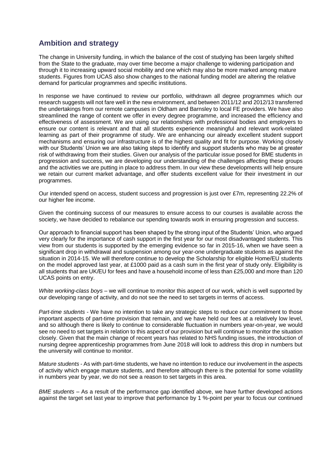# **Ambition and strategy**

The change in University funding, in which the balance of the cost of studying has been largely shifted from the State to the graduate, may over time become a major challenge to widening participation and through it to increasing upward social mobility and one which may also be more marked among mature students. Figures from UCAS also show changes to the national funding model are altering the relative demand for particular programmes and specific institutions.

In response we have continued to review our portfolio, withdrawn all degree programmes which our research suggests will not fare well in the new environment, and between 2011/12 and 2012/13 transferred the undertakings from our remote campuses in Oldham and Barnsley to local FE providers. We have also streamlined the range of content we offer in every degree programme, and increased the efficiency and effectiveness of assessment. We are using our relationships with professional bodies and employers to ensure our content is relevant and that all students experience meaningful and relevant work-related learning as part of their programme of study. We are enhancing our already excellent student support mechanisms and ensuring our infrastructure is of the highest quality and fit for purpose. Working closely with our Students' Union we are also taking steps to identify and support students who may be at greater risk of withdrawing from their studies. Given our analysis of the particular issue posed for BME students in progression and success, we are developing our understanding of the challenges affecting these groups and the activities we are putting in place to address them. In our view these developments will help ensure we retain our current market advantage, and offer students excellent value for their investment in our programmes.

Our intended spend on access, student success and progression is just over £7m, representing 22.2% of our higher fee income.

Given the continuing success of our measures to ensure access to our courses is available across the society, we have decided to rebalance our spending towards work in ensuring progression and success.

Our approach to financial support has been shaped by the strong input of the Students' Union, who argued very clearly for the importance of cash support in the first year for our most disadvantaged students. This view from our students is supported by the emerging evidence so far in 2015-16, when we have seen a significant drop in withdrawal and suspension among our year-one undergraduate students as against the situation in 2014-15. We will therefore continue to develop the Scholarship for eligible Home/EU students on the model approved last year, at £1000 paid as a cash sum in the first year of study only. Eligibility is all students that are UK/EU for fees and have a household income of less than £25,000 and more than 120 UCAS points on entry.

*White working-class boys* – we will continue to monitor this aspect of our work, which is well supported by our developing range of activity, and do not see the need to set targets in terms of access.

*Part-time students* - We have no intention to take any strategic steps to reduce our commitment to those important aspects of part-time provision that remain, and we have held our fees at a relatively low level, and so although there is likely to continue to considerable fluctuation in numbers year-on-year, we would see no need to set targets in relation to this aspect of our provision but will continue to monitor the situation closely. Given that the main change of recent years has related to NHS funding issues, the introduction of nursing degree apprenticeship programmes from June 2018 will look to address this drop in numbers but the university will continue to monitor.

*Mature students* - As with part-time students, we have no intention to reduce our involvement in the aspects of activity which engage mature students, and therefore although there is the potential for some volatility in numbers year by year, we do not see a reason to set targets in this area.

*BME students* – As a result of the performance gap identified above, we have further developed actions against the target set last year to improve that performance by 1 %-point per year to focus our continued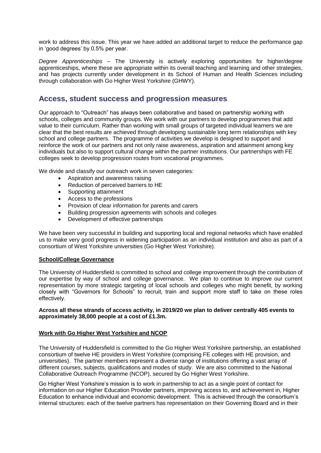work to address this issue. This year we have added an additional target to reduce the performance gap in 'good degrees' by 0.5% per year.

*Degree Apprenticeships* – The University is actively exploring opportunities for higher/degree apprenticeships, where these are appropriate within its overall teaching and learning and other strategies, and has projects currently under development in its School of Human and Health Sciences including through collaboration with Go Higher West Yorkshire (GHWY).

# **Access, student success and progression measures**

Our approach to "Outreach" has always been collaborative and based on partnership working with schools, colleges and community groups. We work with our partners to develop programmes that add value to their curriculum. Rather than working with small groups of targeted individual learners we are clear that the best results are achieved through developing sustainable long term relationships with key school and college partners. The programme of activities we develop is designed to support and reinforce the work of our partners and not only raise awareness, aspiration and attainment among key individuals but also to support cultural change within the partner institutions. Our partnerships with FE colleges seek to develop progression routes from vocational programmes.

We divide and classify our outreach work in seven categories:

- Aspiration and awareness raising
- Reduction of perceived barriers to HE
- Supporting attainment
- Access to the professions
- Provision of clear information for parents and carers
- Building progression agreements with schools and colleges
- Development of effective partnerships

We have been very successful in building and supporting local and regional networks which have enabled us to make very good progress in widening participation as an individual institution and also as part of a consortium of West Yorkshire universities (Go Higher West Yorkshire).

### **School/College Governance**

The University of Huddersfield is committed to school and college improvement through the contribution of our expertise by way of school and college governance. We plan to continue to improve our current representation by more strategic targeting of local schools and colleges who might benefit, by working closely with "Governors for Schools" to recruit, train and support more staff to take on these roles effectively.

### **Across all these strands of access activity, in 2019/20 we plan to deliver centrally 405 events to approximately 38,000 people at a cost of £1.3m.**

### **Work with Go Higher West Yorkshire and NCOP**

The University of Huddersfield is committed to the Go Higher West Yorkshire partnership, an established consortium of twelve HE providers in West Yorkshire (comprising FE colleges with HE provision, and universities). The partner members represent a diverse range of institutions offering a vast array of different courses, subjects, qualifications and modes of study. We are also committed to the National Collaborative Outreach Programme (NCOP), secured by Go Higher West Yorkshire.

Go Higher West Yorkshire's mission is to work in partnership to act as a single point of contact for information on our Higher Education Provider partners, improving access to, and achievement in, Higher Education to enhance individual and economic development. This is achieved through the consortium's internal structures: each of the twelve partners has representation on their Governing Board and in their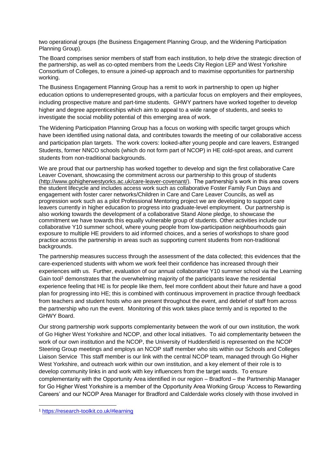two operational groups (the Business Engagement Planning Group, and the Widening Participation Planning Group).

The Board comprises senior members of staff from each institution, to help drive the strategic direction of the partnership, as well as co-opted members from the Leeds City Region LEP and West Yorkshire Consortium of Colleges, to ensure a joined-up approach and to maximise opportunities for partnership working.

The Business Engagement Planning Group has a remit to work in partnership to open up higher education options to underrepresented groups, with a particular focus on employers and their employees, including prospective mature and part-time students. GHWY partners have worked together to develop higher and degree apprenticeships which aim to appeal to a wide range of students, and seeks to investigate the social mobility potential of this emerging area of work.

The Widening Participation Planning Group has a focus on working with specific target groups which have been identified using national data*,* and contributes towards the meeting of our collaborative access and participation plan targets. The work covers: looked-after young people and care leavers, Estranged Students, former NNCO schools (which do not form part of NCOP) in HE cold-spot areas, and current students from non-traditional backgrounds.

We are proud that our partnership has worked together to develop and sign the first collaborative Care Leaver Covenant, showcasing the commitment across our partnership to this group of students [\(http://www.gohigherwestyorks.ac.uk/care-leaver-covenant/\)](http://www.gohigherwestyorks.ac.uk/care-leaver-covenant/). The partnership's work in this area covers the student lifecycle and includes access work such as collaborative Foster Family Fun Days and engagement with foster carer networks/Children in Care and Care Leaver Councils, as well as progression work such as a pilot Professional Mentoring project we are developing to support care leavers currently in higher education to progress into graduate-level employment. Our partnership is also working towards the development of a collaborative Stand Alone pledge, to showcase the commitment we have towards this equally vulnerable group of students. Other activities include our collaborative Y10 summer school, where young people from low-participation neighbourhoods gain exposure to multiple HE providers to aid informed choices, and a series of workshops to share good practice across the partnership in areas such as supporting current students from non-traditional backgrounds.

The partnership measures success through the assessment of the data collected; this evidences that the care-experienced students with whom we work feel their confidence has increased through their experiences with us. Further, evaluation of our annual collaborative Y10 summer school via the Learning Gain tool<sup>1</sup> demonstrates that the overwhelming majority of the participants leave the residential experience feeling that HE is for people like them, feel more confident about their future and have a good plan for progressing into HE; this is combined with continuous improvement in practice through feedback from teachers and student hosts who are present throughout the event, and debrief of staff from across the partnership who run the event. Monitoring of this work takes place termly and is reported to the GHWY Board.

Our strong partnership work supports complementarity between the work of our own institution, the work of Go Higher West Yorkshire and NCOP, and other local initiatives. To aid complementarity between the work of our own institution and the NCOP, the University of Huddersfield is represented on the NCOP Steering Group meetings and employs an NCOP staff member who sits within our Schools and Colleges Liaison Service This staff member is our link with the central NCOP team, managed through Go Higher West Yorkshire, and outreach work within our own institution, and a key element of their role is to develop community links in and work with key influencers from the target wards. To ensure complementarity with the Opportunity Area identified in our region – Bradford – the Partnership Manager for Go Higher West Yorkshire is a member of the Opportunity Area Working Group 'Access to Rewarding Careers' and our NCOP Area Manager for Bradford and Calderdale works closely with those involved in

1

<sup>1</sup> <https://research-toolkit.co.uk/#learning>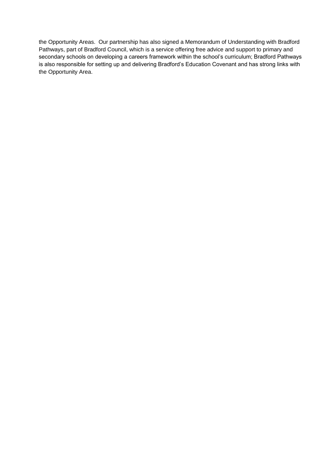the Opportunity Areas. Our partnership has also signed a Memorandum of Understanding with Bradford Pathways, part of Bradford Council, which is a service offering free advice and support to primary and secondary schools on developing a careers framework within the school's curriculum; Bradford Pathways is also responsible for setting up and delivering Bradford's Education Covenant and has strong links with the Opportunity Area.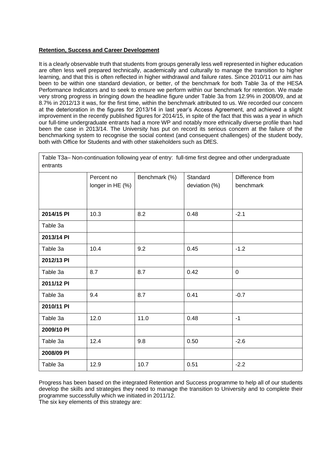## **Retention, Success and Career Development**

It is a clearly observable truth that students from groups generally less well represented in higher education are often less well prepared technically, academically and culturally to manage the transition to higher learning, and that this is often reflected in higher withdrawal and failure rates. Since 2010/11 our aim has been to be within one standard deviation, or better, of the benchmark for both Table 3a of the HESA Performance Indicators and to seek to ensure we perform within our benchmark for retention. We made very strong progress in bringing down the headline figure under Table 3a from 12.9% in 2008/09, and at 8.7% in 2012/13 it was, for the first time, within the benchmark attributed to us. We recorded our concern at the deterioration in the figures for 2013/14 in last year's Access Agreement, and achieved a slight improvement in the recently published figures for 2014/15, in spite of the fact that this was a year in which our full-time undergraduate entrants had a more WP and notably more ethnically diverse profile than had been the case in 2013/14. The University has put on record its serious concern at the failure of the benchmarking system to recognise the social context (and consequent challenges) of the student body, both with Office for Students and with other stakeholders such as DfES.

| Table T3a- Non-continuation following year of entry: full-time first degree and other undergraduate<br>entrants |                                |               |                           |                              |  |
|-----------------------------------------------------------------------------------------------------------------|--------------------------------|---------------|---------------------------|------------------------------|--|
|                                                                                                                 | Percent no<br>longer in HE (%) | Benchmark (%) | Standard<br>deviation (%) | Difference from<br>benchmark |  |
| 2014/15 PI                                                                                                      | 10.3                           | 8.2           | 0.48                      | $-2.1$                       |  |
| Table 3a                                                                                                        |                                |               |                           |                              |  |
| 2013/14 PI                                                                                                      |                                |               |                           |                              |  |
| Table 3a                                                                                                        | 10.4                           | 9.2           | 0.45                      | $-1.2$                       |  |
| 2012/13 PI                                                                                                      |                                |               |                           |                              |  |
| Table 3a                                                                                                        | 8.7                            | 8.7           | 0.42                      | $\mathbf 0$                  |  |
| 2011/12 PI                                                                                                      |                                |               |                           |                              |  |
| Table 3a                                                                                                        | 9.4                            | 8.7           | 0.41                      | $-0.7$                       |  |
| 2010/11 PI                                                                                                      |                                |               |                           |                              |  |
| Table 3a                                                                                                        | 12.0                           | 11.0          | 0.48                      | $-1$                         |  |
| 2009/10 PI                                                                                                      |                                |               |                           |                              |  |
| Table 3a                                                                                                        | 12.4                           | 9.8           | 0.50                      | $-2.6$                       |  |
| 2008/09 PI                                                                                                      |                                |               |                           |                              |  |
| Table 3a                                                                                                        | 12.9                           | 10.7          | 0.51                      | $-2.2$                       |  |

Progress has been based on the integrated Retention and Success programme to help all of our students develop the skills and strategies they need to manage the transition to University and to complete their programme successfully which we initiated in 2011/12.

The six key elements of this strategy are: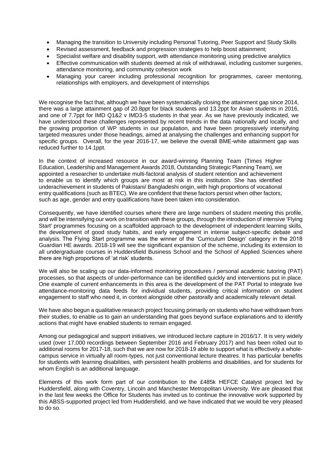- Managing the transition to University including Personal Tutoring, Peer Support and Study Skills
- Revised assessment, feedback and progression strategies to help boost attainment;
- Specialist welfare and disability support, with attendance monitoring using predictive analytics
- Effective communication with students deemed at risk of withdrawal, including customer surgeries, attendance monitoring, and community cohesion work
- Managing your career including professional recognition for programmes, career mentoring, relationships with employers, and development of internships

We recognise the fact that, although we have been systematically closing the attainment gap since 2014, there was a large attainment gap of 20.8ppt for black students and 13.2ppt for Asian students in 2016, and one of 7.7ppt for IMD Q1&2 v IMD3-5 students in that year. As we have previously indicated, we have understood these challenges represented by recent trends in the data nationally and locally, and the growing proportion of WP students in our population, and have been progressively intensifying targeted measures under those headings, aimed at analysing the challenges and enhancing support for specific groups. Overall, for the year 2016-17, we believe the overall BME-white attainment gap was reduced further to 14.1ppt.

In the context of increased resource in our award-winning Planning Team (Times Higher Education, Leadership and Management Awards 2018, Outstanding Strategic Planning Team), we appointed a researcher to undertake multi-factoral analysis of student retention and achievement to enable us to identify which groups are most at risk in this institution. She has identified underachievement in students of Pakistani/ Bangladeshi origin, with high proportions of vocational entry qualifications (such as BTEC). We are confident that these factors persist when other factors, such as age, gender and entry qualifications have been taken into consideration.

Consequently, we have identified courses where there are large numbers of student meeting this profile, and will be intensifying our work on transition with these groups, through the introduction of intensive 'Flying Start' programmes focusing on a scaffolded approach to the development of independent learning skills, the development of good study habits, and early engagement in intense subject-specific debate and analysis. The Flying Start programme was the winner of the 'Curriculum Design' category in the 2018 Guardian HE awards. 2018-19 will see the significant expansion of the scheme, including its extension to all undergraduate courses in Huddersfield Business School and the School of Applied Sciences where there are high proportions of 'at risk' students.

We will also be scaling up our data-informed monitoring procedures / personal academic tutoring (PAT) processes, so that aspects of under-performance can be identified quickly and interventions put in place. One example of current enhancements in this area is the development of the PAT Portal to integrate live attendance-monitoring data feeds for individual students, providing critical information on student engagement to staff who need it, in context alongside other pastorally and academically relevant detail.

We have also begun a qualitative research project focusing primarily on students who have withdrawn from their studies, to enable us to gain an understanding that goes beyond surface explanations and to identify actions that might have enabled students to remain engaged.

Among our pedagogical and support initiatives, we introduced lecture capture in 2016/17. It is very widely used (over 17,000 recordings between September 2016 and February 2017) and has been rolled out to additional rooms for 2017-18, such that we are now for 2018-19 able to support what is effectively a wholecampus service in virtually all room-types, not just conventional lecture theatres. It has particular benefits for students with learning disabilities, with persistent health problems and disabilities, and for students for whom English is an additional language.

Elements of this work form part of our contribution to the £485k HEFCE Catalyst project led by Huddersfield, along with Coventry, Lincoln and Manchester Metropolitan University. We are pleased that in the last few weeks the Office for Students has invited us to continue the innovative work supported by this ABSS-supported project led from Huddersfield, and we have indicated that we would be very pleased to do so.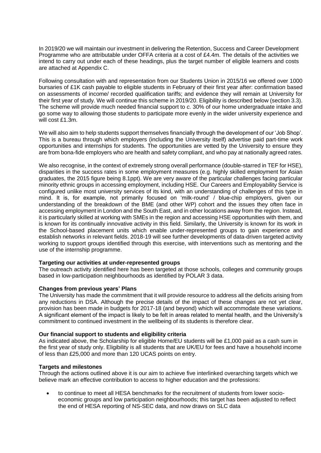In 2019/20 we will maintain our investment in delivering the Retention, Success and Career Development Programme who are attributable under OFFA criteria at a cost of £4.4m. The details of the activities we intend to carry out under each of these headings, plus the target number of eligible learners and costs are attached at Appendix C.

Following consultation with and representation from our Students Union in 2015/16 we offered over 1000 bursaries of £1K cash payable to eligible students in February of their first year after: confirmation based on assessments of income/ recorded qualification tariffs; and evidence they will remain at University for their first year of study. We will continue this scheme in 2019/20. Eligibility is described below (section 3.3). The scheme will provide much needed financial support to *c.* 30% of our home undergraduate intake and go some way to allowing those students to participate more evenly in the wider university experience and will cost £1.3m.

We will also aim to help students support themselves financially through the development of our 'Job Shop'. This is a bureau through which employers (including the University itself) advertise paid part-time work opportunities and internships for students. The opportunities are vetted by the University to ensure they are from bona-fide employers who are health and safety compliant, and who pay at nationally agreed rates.

We also recognise, in the context of extremely strong overall performance (double-starred in TEF for HSE), disparities in the success rates in some employment measures (e.g. highly skilled employment for Asian graduates, the 2015 figure being 8.1ppt). We are very aware of the particular challenges facing particular minority ethnic groups in accessing employment, including HSE. Our Careers and Employability Service is configured unlike most university services of its kind, with an understanding of challenges of this type in mind. It is, for example, not primarily focused on 'milk-round' / blue-chip employers, given our understanding of the breakdown of the BME (and other WP) cohort and the issues they often face in accessing employment in London and the South East, and in other locations away from the region. Instead, it is particularly skilled at working with SMEs in the region and accessing HSE opportunities with them, and is known for its continually innovative activity in this field. Similarly, the University is known for its work in the School-based placement units which enable under-represented groups to gain experience and establish networks in relevant fields. 2018-19 will see further developments of data-driven targeted activity working to support groups identified through this exercise, with interventions such as mentoring and the use of the internship programme.

## **Targeting our activities at under-represented groups**

The outreach activity identified here has been targeted at those schools, colleges and community groups based in low-participation neighbourhoods as identified by POLAR 3 data.

#### **Changes from previous years' Plans**

The University has made the commitment that it will provide resource to address all the deficits arising from any reductions in DSA. Although the precise details of the impact of these changes are not yet clear, provision has been made in budgets for 2017-18 (and beyond) which will accommodate these variations. A significant element of the impact is likely to be felt in areas related to mental health, and the University's commitment to continued investment in the wellbeing of its students is therefore clear.

### **Our financial support to students and eligibility criteria**

As indicated above, the Scholarship for eligible Home/EU students will be £1,000 paid as a cash sum in the first year of study only. Eligibility is all students that are UK/EU for fees and have a household income of less than £25,000 and more than 120 UCAS points on entry.

#### **Targets and milestones**

Through the actions outlined above it is our aim to achieve five interlinked overarching targets which we believe mark an effective contribution to access to higher education and the professions:

 to continue to meet all HESA benchmarks for the recruitment of students from lower socioeconomic groups and low participation neighbourhoods; this target has been adjusted to reflect the end of HESA reporting of NS-SEC data, and now draws on SLC data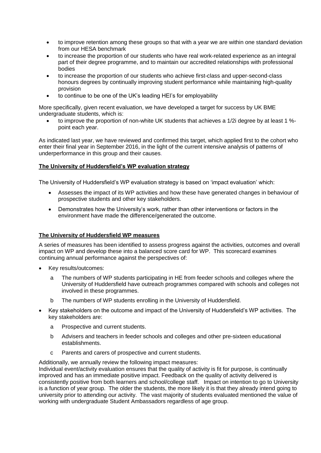- to improve retention among these groups so that with a year we are within one standard deviation from our HESA benchmark
- to increase the proportion of our students who have real work-related experience as an integral part of their degree programme, and to maintain our accredited relationships with professional bodies
- to increase the proportion of our students who achieve first-class and upper-second-class honours degrees by continually improving student performance while maintaining high-quality provision
- to continue to be one of the UK's leading HEI's for employability

More specifically, given recent evaluation, we have developed a target for success by UK BME undergraduate students, which is:

 to improve the proportion of non-white UK students that achieves a 1/2i degree by at least 1 % point each year.

As indicated last year, we have reviewed and confirmed this target, which applied first to the cohort who enter their final year in September 2016, in the light of the current intensive analysis of patterns of underperformance in this group and their causes.

## **The University of Huddersfield's WP evaluation strategy**

The University of Huddersfield's WP evaluation strategy is based on 'impact evaluation' which:

- Assesses the impact of its WP activities and how these have generated changes in behaviour of prospective students and other key stakeholders.
- Demonstrates how the University's work, rather than other interventions or factors in the environment have made the difference/generated the outcome.

## **The University of Huddersfield WP measures**

A series of measures has been identified to assess progress against the activities, outcomes and overall impact on WP and develop these into a balanced score card for WP. This scorecard examines continuing annual performance against the perspectives of:

- Key results/outcomes:
	- a The numbers of WP students participating in HE from feeder schools and colleges where the University of Huddersfield have outreach programmes compared with schools and colleges not involved in these programmes.
	- b The numbers of WP students enrolling in the University of Huddersfield.
- Key stakeholders on the outcome and impact of the University of Huddersfield's WP activities. The key stakeholders are:
	- a Prospective and current students.
	- b Advisers and teachers in feeder schools and colleges and other pre-sixteen educational establishments.
	- c Parents and carers of prospective and current students.

Additionally, we annually review the following impact measures:

Individual event/activity evaluation ensures that the quality of activity is fit for purpose, is continually improved and has an immediate positive impact. Feedback on the quality of activity delivered is consistently positive from both learners and school/college staff. Impact on intention to go to University is a function of year group. The older the students, the more likely it is that they already intend going to university prior to attending our activity. The vast majority of students evaluated mentioned the value of working with undergraduate Student Ambassadors regardless of age group.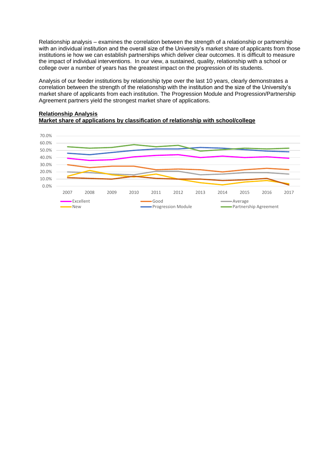Relationship analysis – examines the correlation between the strength of a relationship or partnership with an individual institution and the overall size of the University's market share of applicants from those institutions ie how we can establish partnerships which deliver clear outcomes. It is difficult to measure the impact of individual interventions. In our view, a sustained, quality, relationship with a school or college over a number of years has the greatest impact on the progression of its students.

Analysis of our feeder institutions by relationship type over the last 10 years, clearly demonstrates a correlation between the strength of the relationship with the institution and the size of the University's market share of applicants from each institution. The Progression Module and Progression/Partnership Agreement partners yield the strongest market share of applications.

## **Relationship Analysis Market share of applications by classification of relationship with school/college**

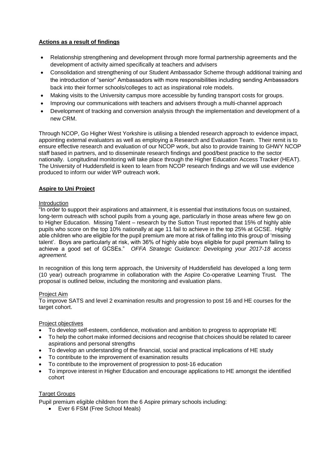## **Actions as a result of findings**

- Relationship strengthening and development through more formal partnership agreements and the development of activity aimed specifically at teachers and advisers
- Consolidation and strengthening of our Student Ambassador Scheme through additional training and the introduction of "senior" Ambassadors with more responsibilities including sending Ambassadors back into their former schools/colleges to act as inspirational role models.
- Making visits to the University campus more accessible by funding transport costs for groups.
- Improving our communications with teachers and advisers through a multi-channel approach
- Development of tracking and conversion analysis through the implementation and development of a new CRM.

Through NCOP, Go Higher West Yorkshire is utilising a blended research approach to evidence impact, appointing external evaluators as well as employing a Research and Evaluation Team. Their remit is to ensure effective research and evaluation of our NCOP work, but also to provide training to GHWY NCOP staff based in partners, and to disseminate research findings and good/best practice to the sector nationally. Longitudinal monitoring will take place through the Higher Education Access Tracker (HEAT). The University of Huddersfield is keen to learn from NCOP research findings and we will use evidence produced to inform our wider WP outreach work.

## **Aspire to Uni Project**

### Introduction

"In order to support their aspirations and attainment, it is essential that institutions focus on sustained, long-term outreach with school pupils from a young age, particularly in those areas where few go on to Higher Education. Missing Talent – research by the Sutton Trust reported that 15% of highly able pupils who score on the top 10% nationally at age 11 fail to achieve in the top 25% at GCSE. Highly able children who are eligible for the pupil premium are more at risk of falling into this group of 'missing talent'. Boys are particularly at risk, with 36% of highly able boys eligible for pupil premium failing to achieve a good set of GCSEs." *OFFA Strategic Guidance: Developing your 2017-18 access agreement.*

In recognition of this long term approach, the University of Huddersfield has developed a long term (10 year) outreach programme in collaboration with the Aspire Co-operative Learning Trust. The proposal is outlined below, including the monitoring and evaluation plans.

### Project Aim

To improve SATS and level 2 examination results and progression to post 16 and HE courses for the target cohort.

### Project objectives

- To develop self-esteem, confidence, motivation and ambition to progress to appropriate HE
- To help the cohort make informed decisions and recognise that choices should be related to career aspirations and personal strengths
- To develop an understanding of the financial, social and practical implications of HE study
- To contribute to the improvement of examination results
- To contribute to the improvement of progression to post-16 education
- To improve interest in Higher Education and encourage applications to HE amongst the identified cohort

## Target Groups

Pupil premium eligible children from the 6 Aspire primary schools including:

Ever 6 FSM (Free School Meals)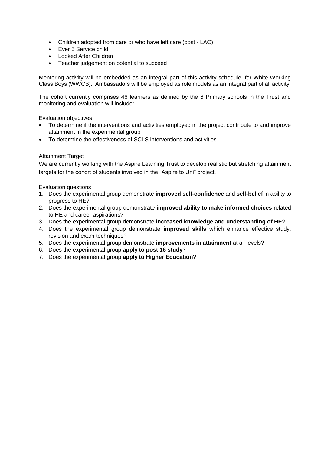- Children adopted from care or who have left care (post LAC)
- Ever 5 Service child
- Looked After Children
- Teacher judgement on potential to succeed

Mentoring activity will be embedded as an integral part of this activity schedule, for White Working Class Boys (WWCB). Ambassadors will be employed as role models as an integral part of all activity.

The cohort currently comprises 46 learners as defined by the 6 Primary schools in the Trust and monitoring and evaluation will include:

### Evaluation objectives

- To determine if the interventions and activities employed in the project contribute to and improve attainment in the experimental group
- To determine the effectiveness of SCLS interventions and activities

## Attainment Target

We are currently working with the Aspire Learning Trust to develop realistic but stretching attainment targets for the cohort of students involved in the "Aspire to Uni" project.

### Evaluation questions

- 1. Does the experimental group demonstrate **improved self-confidence** and **self-belief** in ability to progress to HE?
- 2. Does the experimental group demonstrate **improved ability to make informed choices** related to HE and career aspirations?
- 3. Does the experimental group demonstrate **increased knowledge and understanding of HE**?
- 4. Does the experimental group demonstrate **improved skills** which enhance effective study, revision and exam techniques?
- 5. Does the experimental group demonstrate **improvements in attainment** at all levels?
- 6. Does the experimental group **apply to post 16 study**?
- 7. Does the experimental group **apply to Higher Education**?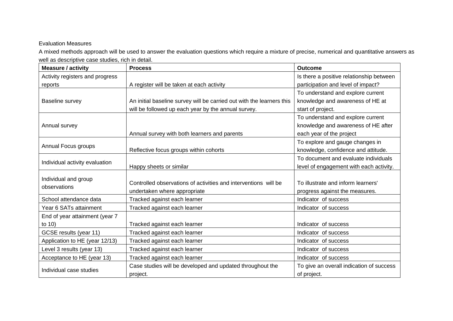# Evaluation Measures

A mixed methods approach will be used to answer the evaluation questions which require a mixture of precise, numerical and quantitative answers as well as descriptive case studies, rich in detail.

| <b>Measure / activity</b>            | <b>Process</b>                                                        | <b>Outcome</b>                           |
|--------------------------------------|-----------------------------------------------------------------------|------------------------------------------|
| Activity registers and progress      |                                                                       | Is there a positive relationship between |
| reports                              | A register will be taken at each activity                             | participation and level of impact?       |
|                                      |                                                                       | To understand and explore current        |
| Baseline survey                      | An initial baseline survey will be carried out with the learners this | knowledge and awareness of HE at         |
|                                      | will be followed up each year by the annual survey.                   | start of project.                        |
|                                      |                                                                       | To understand and explore current        |
| Annual survey                        |                                                                       | knowledge and awareness of HE after      |
|                                      | Annual survey with both learners and parents                          | each year of the project                 |
|                                      |                                                                       | To explore and gauge changes in          |
| Annual Focus groups                  | Reflective focus groups within cohorts                                | knowledge, confidence and attitude.      |
|                                      |                                                                       | To document and evaluate individuals     |
| Individual activity evaluation       | Happy sheets or similar                                               | level of engagement with each activity.  |
|                                      |                                                                       |                                          |
| Individual and group<br>observations | Controlled observations of activities and interventions will be       | To illustrate and inform learners'       |
|                                      | undertaken where appropriate                                          | progress against the measures.           |
| School attendance data               | Tracked against each learner                                          | Indicator of success                     |
| Year 6 SATs attainment               | Tracked against each learner                                          | Indicator of success                     |
| End of year attainment (year 7       |                                                                       |                                          |
| to 10)                               | Tracked against each learner                                          | Indicator of success                     |
| GCSE results (year 11)               | Tracked against each learner                                          | Indicator of success                     |
| Application to HE (year 12/13)       | Tracked against each learner                                          | Indicator of success                     |
| Level 3 results (year 13)            | Tracked against each learner                                          | Indicator of success                     |
| Acceptance to HE (year 13)           | Tracked against each learner                                          | Indicator of success                     |
|                                      | Case studies will be developed and updated throughout the             | To give an overall indication of success |
| Individual case studies              | project.                                                              | of project.                              |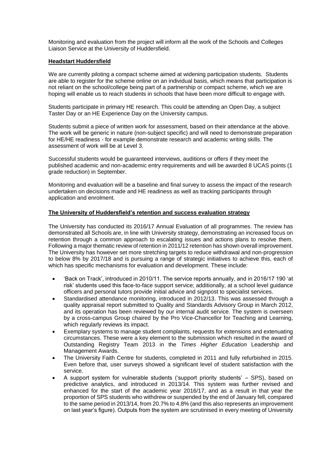Monitoring and evaluation from the project will inform all the work of the Schools and Colleges Liaison Service at the University of Huddersfield.

### **Headstart Huddersfield**

We are currently piloting a compact scheme aimed at widening participation students. Students are able to register for the scheme online on an individual basis, which means that participation is not reliant on the school/college being part of a partnership or compact scheme, which we are hoping will enable us to reach students in schools that have been more difficult to engage with.

Students participate in primary HE research. This could be attending an Open Day, a subject Taster Day or an HE Experience Day on the University campus.

Students submit a piece of written work for assessment, based on their attendance at the above. The work will be generic in nature (non-subject specific) and will need to demonstrate preparation for HE/HE readiness - for example demonstrate research and academic writing skills. The assessment of work will be at Level 3.

Successful students would be guaranteed interviews, auditions or offers if they meet the published academic and non-academic entry requirements and will be awarded 8 UCAS points (1 grade reduction) in September.

Monitoring and evaluation will be a baseline and final survey to assess the impact of the research undertaken on decisions made and HE readiness as well as tracking participants through application and enrolment.

#### **The University of Huddersfield's retention and success evaluation strategy**

The University has conducted its 2016/17 Annual Evaluation of all programmes. The review has demonstrated all Schools are, in line with University strategy, demonstrating an increased focus on retention through a common approach to escalating issues and actions plans to resolve them. Following a major thematic review of retention in 2011/12 retention has shown overall improvement. The University has however set more stretching targets to reduce withdrawal and non-progression to below 8% by 2017/18 and is pursuing a range of strategic initiatives to achieve this, each of which has specific mechanisms for evaluation and development. These include:

- 'Back on Track', introduced in 2010/11. The service reports annually, and in 2016/17 190 'at risk' students used this face-to-face support service; additionally, at a school level guidance officers and personal tutors provide initial advice and signpost to specialist services.
- Standardised attendance monitoring, introduced in 2012/13. This was assessed through a quality appraisal report submitted to Quality and Standards Advisory Group in March 2012, and its operation has been reviewed by our internal audit service. The system is overseen by a cross-campus Group chaired by the Pro Vice-Chancellor for Teaching and Learning, which regularly reviews its impact.
- Exemplary systems to manage student complaints, requests for extensions and extenuating circumstances. These were a key element to the submission which resulted in the award of Outstanding Registry Team 2013 in the *Times Higher Education* Leadership and Management Awards.
- The University Faith Centre for students, completed in 2011 and fully refurbished in 2015. Even before that, user surveys showed a significant level of student satisfaction with the service.
- A support system for vulnerable students ('support priority students' SPS), based on predictive analytics, and introduced in 2013/14. This system was further revised and enhanced for the start of the academic year 2016/17, and as a result in that year the proportion of SPS students who withdrew or suspended by the end of January fell, compared to the same period in 2013/14, from 20.7% to 4.8% (and this also represents an improvement on last year's figure). Outputs from the system are scrutinised in every meeting of University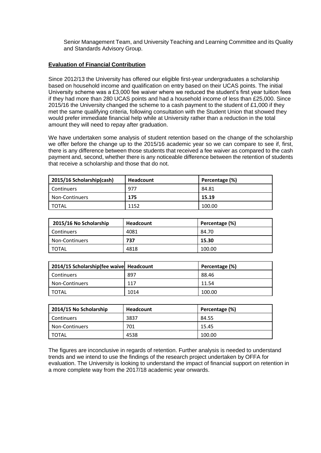Senior Management Team, and University Teaching and Learning Committee and its Quality and Standards Advisory Group.

## **Evaluation of Financial Contribution**

Since 2012/13 the University has offered our eligible first-year undergraduates a scholarship based on household income and qualification on entry based on their UCAS points. The initial University scheme was a £3,000 fee waiver where we reduced the student's first year tuition fees if they had more than 280 UCAS points and had a household income of less than £25,000. Since 2015/16 the University changed the scheme to a cash payment to the student of £1,000 if they met the same qualifying criteria, following consultation with the Student Union that showed they would prefer immediate financial help while at University rather than a reduction in the total amount they will need to repay after graduation.

We have undertaken some analysis of student retention based on the change of the scholarship we offer before the change up to the 2015/16 academic year so we can compare to see if, first, there is any difference between those students that received a fee waiver as compared to the cash payment and, second, whether there is any noticeable difference between the retention of students that receive a scholarship and those that do not.

| 2015/16 Scholarship(cash) | <b>Headcount</b> | Percentage (%) |
|---------------------------|------------------|----------------|
| Continuers                | 977              | 84.81          |
| <b>Non-Continuers</b>     | 175              | 15.19          |
| <b>TOTAL</b>              | 1152             | 100.00         |

| 2015/16 No Scholarship | <b>Headcount</b> | Percentage (%) |
|------------------------|------------------|----------------|
| <b>Continuers</b>      | 4081             | 84.70          |
| <b>Non-Continuers</b>  | 737              | 15.30          |
| TOTAL                  | 4818             | 100.00         |

| 2014/15 Scholarship(fee waive Headcount |      | Percentage (%) |
|-----------------------------------------|------|----------------|
| <b>Continuers</b>                       | 897  | 88.46          |
| Non-Continuers                          | 117  | 11.54          |
| I TOTAL                                 | 1014 | 100.00         |

| 2014/15 No Scholarship | Headcount | Percentage (%) |
|------------------------|-----------|----------------|
| <b>Continuers</b>      | 3837      | 84.55          |
| Non-Continuers         | 701       | 15.45          |
| TOTAL                  | 4538      | 100.00         |

The figures are inconclusive in regards of retention. Further analysis is needed to understand trends and we intend to use the findings of the research project undertaken by OFFA for evaluation. The University is looking to understand the impact of financial support on retention in a more complete way from the 2017/18 academic year onwards.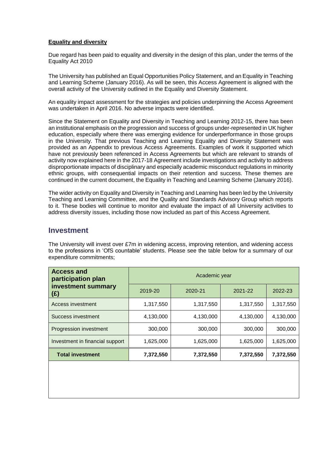## **Equality and diversity**

Due regard has been paid to equality and diversity in the design of this plan, under the terms of the Equality Act 2010

The University has published an Equal Opportunities Policy Statement, and an Equality in Teaching and Learning Scheme (January 2016). As will be seen, this Access Agreement is aligned with the overall activity of the University outlined in the Equality and Diversity Statement.

An equality impact assessment for the strategies and policies underpinning the Access Agreement was undertaken in April 2016. No adverse impacts were identified.

Since the Statement on Equality and Diversity in Teaching and Learning 2012-15, there has been an institutional emphasis on the progression and success of groups under-represented in UK higher education, especially where there was emerging evidence for underperformance in those groups in the University. That previous Teaching and Learning Equality and Diversity Statement was provided as an Appendix to previous Access Agreements. Examples of work it supported which have not previously been referenced in Access Agreements but which are relevant to strands of activity now explained here in the 2017-18 Agreement include investigations and activity to address disproportionate impacts of disciplinary and especially academic misconduct regulations in minority ethnic groups, with consequential impacts on their retention and success. These themes are continued in the current document, the Equality in Teaching and Learning Scheme (January 2016).

The wider activity on Equality and Diversity in Teaching and Learning has been led by the University Teaching and Learning Committee, and the Quality and Standards Advisory Group which reports to it. These bodies will continue to monitor and evaluate the impact of all University activities to address diversity issues, including those now included as part of this Access Agreement.

# **Investment**

The University will invest over £7m in widening access, improving retention, and widening access to the professions in 'OfS countable' students. Please see the table below for a summary of our expenditure commitments;

| <b>Access and</b><br>participation plan | Academic year |           |           |           |  |  |  |  |  |  |
|-----------------------------------------|---------------|-----------|-----------|-----------|--|--|--|--|--|--|
| investment summary<br>(£)               | 2019-20       | 2020-21   | 2021-22   | 2022-23   |  |  |  |  |  |  |
| Access investment                       | 1,317,550     | 1,317,550 | 1,317,550 | 1,317,550 |  |  |  |  |  |  |
| Success investment                      | 4,130,000     | 4,130,000 | 4,130,000 | 4.130.000 |  |  |  |  |  |  |
| Progression investment                  | 300,000       | 300,000   | 300,000   | 300,000   |  |  |  |  |  |  |
| Investment in financial support         | 1,625,000     | 1,625,000 | 1,625,000 | 1,625,000 |  |  |  |  |  |  |
| <b>Total investment</b>                 | 7,372,550     | 7,372,550 | 7,372,550 | 7,372,550 |  |  |  |  |  |  |
|                                         |               |           |           |           |  |  |  |  |  |  |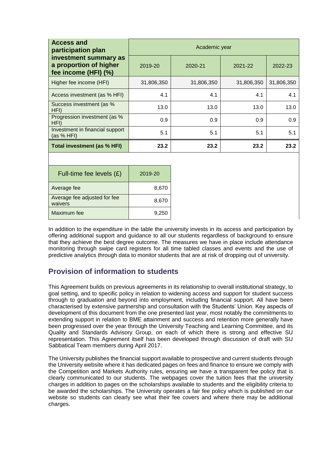| <b>Access and</b><br>participation plan                                 | Academic year |            |            |            |  |  |  |  |  |  |
|-------------------------------------------------------------------------|---------------|------------|------------|------------|--|--|--|--|--|--|
| investment summary as<br>a proportion of higher<br>fee income (HFI) (%) | 2019-20       | 2020-21    | 2021-22    | 2022-23    |  |  |  |  |  |  |
| Higher fee income (HFI)                                                 | 31,806,350    | 31,806,350 | 31,806,350 | 31,806,350 |  |  |  |  |  |  |
| Access investment (as % HFI)                                            | 4.1           | 4.1        | 4.1        | 4.1        |  |  |  |  |  |  |
| Success investment (as %<br>HFI)                                        | 13.0          | 13.0       | 13.0       | 13.0       |  |  |  |  |  |  |
| Progression investment (as %<br>HFI)                                    | 0.9           | 0.9        | 0.9        | 0.9        |  |  |  |  |  |  |
| Investment in financial support<br>(as % HFI)                           | 5.1           | 5.1        | 5.1        | 5.1        |  |  |  |  |  |  |
| Total investment (as % HFI)                                             | 23.2          | 23.2       | 23.2       | 23.2       |  |  |  |  |  |  |

| Full-time fee levels $(E)$              | 2019-20 |
|-----------------------------------------|---------|
| Average fee                             | 8,670   |
| Average fee adjusted for fee<br>waivers | 8,670   |
| Maximum fee                             | 9,250   |

In addition to the expenditure in the table the university invests in its access and participation by offering additional support and guidance to all our students regardless of background to ensure that they achieve the best degree outcome. The measures we have in place include attendance monitoring through swipe card registers for all time tabled classes and events and the use of predictive analytics through data to monitor students that are at risk of dropping out of university.

# **Provision of information to students**

This Agreement builds on previous agreements in its relationship to overall institutional strategy, to goal setting, and to specific policy in relation to widening access and support for student success through to graduation and beyond into employment, including financial support. All have been characterised by extensive partnership and consultation with the Students' Union. Key aspects of development of this document from the one presented last year, most notably the commitments to extending support in relation to BME attainment and success and retention more generally have been progressed over the year through the University Teaching and Learning Committee, and its Quality and Standards Advisory Group, on each of which there is strong and effective SU representation. This Agreement itself has been developed through discussion of draft with SU Sabbatical Team members during April 2017.

The University publishes the financial support available to prospective and current students through the University website where it has dedicated pages on fees and finance to ensure we comply with the Competition and Markets Authority rules, ensuring we have a transparent fee policy that is clearly communicated to our students. The webpages cover the tuition fees that the university charges in addition to pages on the scholarships available to students and the eligibility criteria to be awarded the scholarships. The University operates a fair fee policy which is published on our website so students can clearly see what their fee covers and where there may be additional charges.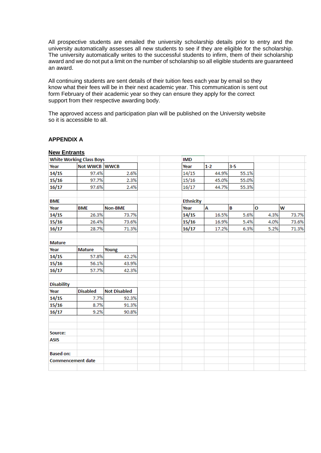All prospective students are emailed the university scholarship details prior to entry and the university automatically assesses all new students to see if they are eligible for the scholarship. The university automatically writes to the successful students to infirm, them of their scholarship award and we do not put a limit on the number of scholarship so all eligible students are guaranteed an award.

All continuing students are sent details of their tuition fees each year by email so they know what their fees will be in their next academic year. This communication is sent out form February of their academic year so they can ensure they apply for the correct support from their respective awarding body.

The approved access and participation plan will be published on the University website so it is accessible to all.

| <b>New Entrants</b>      |                                 |                     |  |                  |         |       |              |   |       |
|--------------------------|---------------------------------|---------------------|--|------------------|---------|-------|--------------|---|-------|
|                          | <b>White Working Class Boys</b> |                     |  | <b>IMD</b>       |         |       |              |   |       |
| Year                     | Not WWCB WWCB                   |                     |  | Year             | $1 - 2$ | $3-5$ |              |   |       |
| 14/15                    | 97.4%                           | 2.6%                |  | 14/15            | 44.9%   | 55.1% |              |   |       |
| 15/16                    | 97.7%                           | 2.3%                |  | 15/16            | 45.0%   | 55.0% |              |   |       |
| 16/17                    | 97.6%                           | 2.4%                |  | 16/17            | 44.7%   | 55.3% |              |   |       |
| <b>BME</b>               |                                 |                     |  | <b>Ethnicity</b> |         |       |              |   |       |
| Year                     | <b>BME</b>                      | Non-BME             |  | Year             | A       | B     | $\mathbf{o}$ | W |       |
| 14/15                    | 26.3%                           | 73.7%               |  | 14/15            | 16.5%   | 5.6%  | 4.3%         |   | 73.7% |
| 15/16                    | 26.4%                           | 73.6%               |  | 15/16            | 16.9%   | 5.4%  | 4.0%         |   | 73.6% |
| 16/17                    | 28.7%                           | 71.3%               |  | 16/17            | 17.2%   | 6.3%  | 5.2%         |   | 71.3% |
| <b>Mature</b>            |                                 |                     |  |                  |         |       |              |   |       |
| Year                     | <b>Mature</b>                   | Young               |  |                  |         |       |              |   |       |
| 14/15                    | 57.8%                           | 42.2%               |  |                  |         |       |              |   |       |
| 15/16                    | 56.1%                           | 43.9%               |  |                  |         |       |              |   |       |
| 16/17                    | 57.7%                           | 42.3%               |  |                  |         |       |              |   |       |
| <b>Disability</b>        |                                 |                     |  |                  |         |       |              |   |       |
| Year                     | <b>Disabled</b>                 | <b>Not Disabled</b> |  |                  |         |       |              |   |       |
| 14/15                    | 7.7%                            | 92.3%               |  |                  |         |       |              |   |       |
| 15/16                    | 8.7%                            | 91.3%               |  |                  |         |       |              |   |       |
| 16/17                    | 9.2%                            | 90.8%               |  |                  |         |       |              |   |       |
|                          |                                 |                     |  |                  |         |       |              |   |       |
| Source:                  |                                 |                     |  |                  |         |       |              |   |       |
| <b>ASIS</b>              |                                 |                     |  |                  |         |       |              |   |       |
|                          |                                 |                     |  |                  |         |       |              |   |       |
| <b>Based on:</b>         |                                 |                     |  |                  |         |       |              |   |       |
| <b>Commencement date</b> |                                 |                     |  |                  |         |       |              |   |       |
|                          |                                 |                     |  |                  |         |       |              |   |       |

#### **APPENDIX A**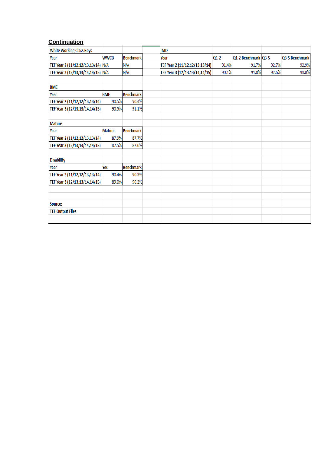# **Continuation**

| <b>White Working Class Boys</b>    |               |                  | <b>IMD</b>                     |        |                     |       |                |
|------------------------------------|---------------|------------------|--------------------------------|--------|---------------------|-------|----------------|
| Year                               | <b>WWCB</b>   | <b>Benchmark</b> | Year                           | $Q1-2$ | Q1-2 Benchmark Q3-5 |       | Q3-5 Benchmark |
| TEF Year 2 (11/12,12/13,13/14) N/A |               | N/A              | TEF Year 2 (11/12,12/13,13/14) | 91.4%  | 91.7%               | 92.7% | 92.9%          |
| TEF Year 3 (12/13,13/14,14/15) N/A |               | N/A              | TEF Year 3 (12/13,13/14,14/15) | 90.1%  | 91.8%               | 92.6% | 93.0%          |
|                                    |               |                  |                                |        |                     |       |                |
| <b>BME</b>                         |               |                  |                                |        |                     |       |                |
| Year                               | <b>BME</b>    | <b>Benchmark</b> |                                |        |                     |       |                |
| TEF Year 2 (11/12,12/13,13/14)     | 90.5%         | 90.4%            |                                |        |                     |       |                |
| TEF Year 3 (12/13,13/14,14/15)     | 90.5%         | 91.1%            |                                |        |                     |       |                |
|                                    |               |                  |                                |        |                     |       |                |
| <b>Mature</b>                      |               |                  |                                |        |                     |       |                |
| Year                               | <b>Mature</b> | <b>Benchmark</b> |                                |        |                     |       |                |
| TEF Year 2 (11/12,12/13,13/14)     | 87.9%         | 87.7%            |                                |        |                     |       |                |
| TEF Year 3 (12/13,13/14,14/15)     | 87.5%         | 87.6%            |                                |        |                     |       |                |
|                                    |               |                  |                                |        |                     |       |                |
| <b>Disability</b>                  |               |                  |                                |        |                     |       |                |
| Year                               | Yes           | <b>Benchmark</b> |                                |        |                     |       |                |
| TEF Year 2 (11/12,12/13,13/14)     | 90.4%         | 90.3%            |                                |        |                     |       |                |
| TEF Year 3 (12/13,13/14,14/15)     | 89.0%         | 90.2%            |                                |        |                     |       |                |
|                                    |               |                  |                                |        |                     |       |                |
|                                    |               |                  |                                |        |                     |       |                |
| Source:                            |               |                  |                                |        |                     |       |                |
| <b>TEF Output Files</b>            |               |                  |                                |        |                     |       |                |
|                                    |               |                  |                                |        |                     |       |                |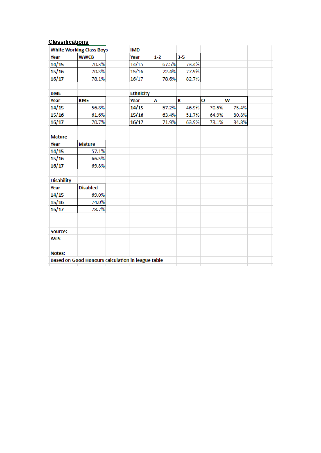## **Classifications**

|                   | <b>White Working Class Boys</b>                   | <b>IMD</b>       |         |       |       |       |  |
|-------------------|---------------------------------------------------|------------------|---------|-------|-------|-------|--|
| Year              | <b>WWCB</b>                                       | Year             | $1 - 2$ | $3-5$ |       |       |  |
| 14/15             | 70.3%                                             | 14/15            | 67.5%   | 73.4% |       |       |  |
| 15/16             | 70.3%                                             | 15/16            | 72.4%   | 77.9% |       |       |  |
| 16/17             | 78.1%                                             | 16/17            | 78.6%   | 82.7% |       |       |  |
| <b>BME</b>        |                                                   | <b>Ethnicity</b> |         |       |       |       |  |
| Year              | <b>BME</b>                                        | Year             | Α       | B     | O     | W     |  |
| 14/15             | 56.8%                                             | 14/15            | 57.2%   | 46.9% | 70.5% | 75.4% |  |
| 15/16             | 61.6%                                             | 15/16            | 63.4%   | 51.7% | 64.9% | 80.8% |  |
| 16/17             | 70.7%                                             | 16/17            | 71.9%   | 63.9% | 73.1% | 84.8% |  |
| <b>Mature</b>     |                                                   |                  |         |       |       |       |  |
| Year              | <b>Mature</b>                                     |                  |         |       |       |       |  |
| 14/15             | 57.1%                                             |                  |         |       |       |       |  |
| 15/16             | 66.5%                                             |                  |         |       |       |       |  |
| 16/17             | 69.8%                                             |                  |         |       |       |       |  |
| <b>Disability</b> |                                                   |                  |         |       |       |       |  |
| Year              | <b>Disabled</b>                                   |                  |         |       |       |       |  |
| 14/15             | 69.0%                                             |                  |         |       |       |       |  |
| 15/16             | 74.0%                                             |                  |         |       |       |       |  |
| 16/17             | 78.7%                                             |                  |         |       |       |       |  |
| Source:           |                                                   |                  |         |       |       |       |  |
| <b>ASIS</b>       |                                                   |                  |         |       |       |       |  |
| Notes:            |                                                   |                  |         |       |       |       |  |
|                   | Based on Good Honours calculation in league table |                  |         |       |       |       |  |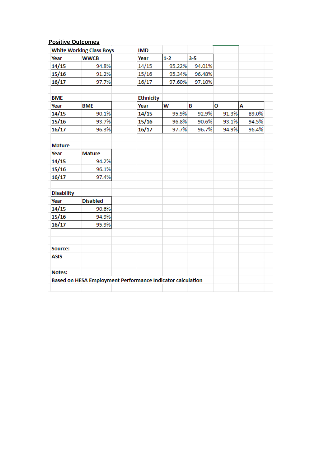# **Positive Outcomes**

| <b>White Working Class Boys</b> |                                                            | <b>IMD</b>       |         |        |       |       |
|---------------------------------|------------------------------------------------------------|------------------|---------|--------|-------|-------|
| Year                            | <b>WWCB</b>                                                | Year             | $1 - 2$ | $3-5$  |       |       |
| 14/15                           | 94.8%                                                      | 14/15            | 95.22%  | 94.01% |       |       |
| 15/16                           | 91.2%                                                      | 15/16            | 95.34%  | 96.48% |       |       |
| 16/17                           | 97.7%                                                      | 16/17            | 97.60%  | 97.10% |       |       |
|                                 |                                                            |                  |         |        |       |       |
| <b>BME</b>                      |                                                            | <b>Ethnicity</b> |         |        |       |       |
| Year                            | <b>BME</b>                                                 | Year             | W       | B      | O     | A     |
| 14/15                           | 90.1%                                                      | 14/15            | 95.9%   | 92.9%  | 91.3% | 89.0% |
| 15/16                           | 93.7%                                                      | 15/16            | 96.8%   | 90.6%  | 93.1% | 94.5% |
| 16/17                           | 96.3%                                                      | 16/17            | 97.7%   | 96.7%  | 94.9% | 96.4% |
|                                 |                                                            |                  |         |        |       |       |
| <b>Mature</b>                   |                                                            |                  |         |        |       |       |
| Year                            | <b>Mature</b>                                              |                  |         |        |       |       |
| 14/15                           | 94.2%                                                      |                  |         |        |       |       |
| 15/16                           | 96.1%                                                      |                  |         |        |       |       |
| 16/17                           | 97.4%                                                      |                  |         |        |       |       |
|                                 |                                                            |                  |         |        |       |       |
| <b>Disability</b>               |                                                            |                  |         |        |       |       |
| Year                            | <b>Disabled</b>                                            |                  |         |        |       |       |
| 14/15                           | 90.6%                                                      |                  |         |        |       |       |
| 15/16                           | 94.9%                                                      |                  |         |        |       |       |
| 16/17                           | 95.9%                                                      |                  |         |        |       |       |
|                                 |                                                            |                  |         |        |       |       |
|                                 |                                                            |                  |         |        |       |       |
| Source:                         |                                                            |                  |         |        |       |       |
| ASIS                            |                                                            |                  |         |        |       |       |
|                                 |                                                            |                  |         |        |       |       |
| Notes:                          |                                                            |                  |         |        |       |       |
|                                 | Based on HESA Employment Performance Indicator calculation |                  |         |        |       |       |
|                                 |                                                            |                  |         |        |       |       |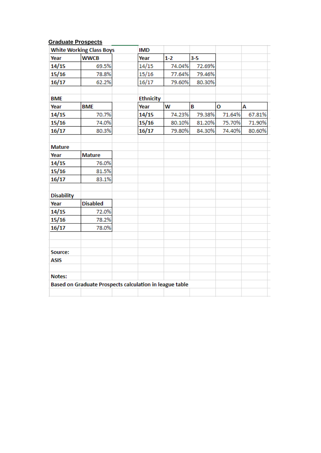## **Graduate Prospects**

|                   | <b>White Working Class Boys</b>                         | <b>IMD</b>       |         |        |        |        |
|-------------------|---------------------------------------------------------|------------------|---------|--------|--------|--------|
| Year              | <b>WWCB</b>                                             | Year             | $1 - 2$ | $3-5$  |        |        |
| 14/15             | 69.5%                                                   | 14/15            | 74.04%  | 72.69% |        |        |
| 15/16             | 78.8%                                                   | 15/16            | 77.64%  | 79.46% |        |        |
| 16/17             | 62.2%                                                   | 16/17            | 79.60%  | 80.30% |        |        |
| <b>BME</b>        |                                                         | <b>Ethnicity</b> |         |        |        |        |
| Year              | <b>BME</b>                                              | Year             | W       | B      | O      | А      |
| 14/15             | 70.7%                                                   | 14/15            | 74.23%  | 79.38% | 71.64% | 67.81% |
| 15/16             | 74.0%                                                   | 15/16            | 80.10%  | 81.20% | 75.70% | 71.90% |
| 16/17             | 80.3%                                                   | 16/17            | 79.80%  | 84.30% | 74.40% | 80.60% |
| <b>Mature</b>     |                                                         |                  |         |        |        |        |
| Year              | <b>Mature</b>                                           |                  |         |        |        |        |
| 14/15             | 76.0%                                                   |                  |         |        |        |        |
| 15/16             | 81.5%                                                   |                  |         |        |        |        |
| 16/17             | 83.1%                                                   |                  |         |        |        |        |
| <b>Disability</b> |                                                         |                  |         |        |        |        |
| Year              | <b>Disabled</b>                                         |                  |         |        |        |        |
| 14/15             | 72.0%                                                   |                  |         |        |        |        |
| 15/16             | 78.2%                                                   |                  |         |        |        |        |
| 16/17             | 78.0%                                                   |                  |         |        |        |        |
| Source:           |                                                         |                  |         |        |        |        |
| <b>ASIS</b>       |                                                         |                  |         |        |        |        |
| Notes:            |                                                         |                  |         |        |        |        |
|                   | Based on Graduate Prospects calculation in league table |                  |         |        |        |        |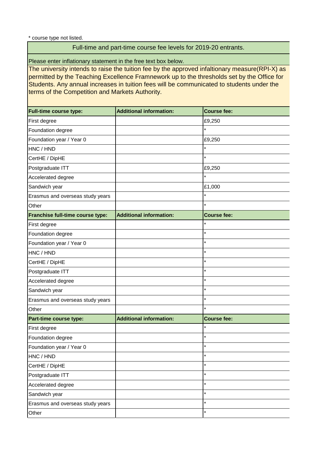\* course type not listed.

## Full-time and part-time course fee levels for 2019-20 entrants.

Please enter inflationary statement in the free text box below.

The university intends to raise the tuition fee by the approved infaltionary measure(RPI-X) as permitted by the Teaching Excellence Framnework up to the thresholds set by the Office for Students. Any annual increases in tuition fees will be communicated to students under the terms of the Competition and Markets Authority.

| <b>Full-time course type:</b>    | <b>Additional information:</b> | <b>Course fee:</b> |
|----------------------------------|--------------------------------|--------------------|
| First degree                     |                                | £9,250             |
| Foundation degree                |                                | $\star$            |
| Foundation year / Year 0         |                                | £9,250             |
| HNC / HND                        |                                | $\star$            |
| CertHE / DipHE                   |                                | $\star$            |
| Postgraduate ITT                 |                                | £9,250             |
| Accelerated degree               |                                | $\star$            |
| Sandwich year                    |                                | £1,000             |
| Erasmus and overseas study years |                                | $\star$            |
| Other                            |                                | $\star$            |
| Franchise full-time course type: | <b>Additional information:</b> | <b>Course fee:</b> |
| First degree                     |                                | $\star$            |
| Foundation degree                |                                | $\star$            |
| Foundation year / Year 0         |                                | $\star$            |
| HNC / HND                        |                                | $\star$            |
| CertHE / DipHE                   |                                | $\star$            |
| Postgraduate ITT                 |                                | $\star$            |
| Accelerated degree               |                                | $\star$            |
| Sandwich year                    |                                | $\star$            |
| Erasmus and overseas study years |                                | $\star$            |
| Other                            |                                | $\star$            |
| Part-time course type:           | <b>Additional information:</b> | <b>Course fee:</b> |
| First degree                     |                                | $\star$            |
| Foundation degree                |                                | $\star$            |
| Foundation year / Year 0         |                                | $\star$            |
| HNC / HND                        |                                | $\star$            |
| CertHE / DipHE                   |                                | $\star$            |
| Postgraduate ITT                 |                                | $\star$            |
| Accelerated degree               |                                | $\star$            |
| Sandwich year                    |                                | $\star$            |
| Erasmus and overseas study years |                                | $\star$            |
| Other                            |                                | $\star$            |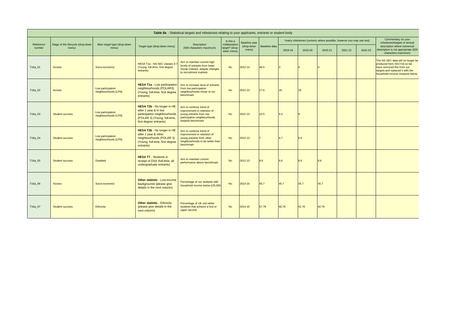|                     | Table 8a - Statistical targets and milestones relating to your applicants, entrants or student body |                                           |                                                                                                                                               |                                                                                                                                         |                                               |                     |               |                   |         |                                                                      |         |         |                                                                                                                                                                      |
|---------------------|-----------------------------------------------------------------------------------------------------|-------------------------------------------|-----------------------------------------------------------------------------------------------------------------------------------------------|-----------------------------------------------------------------------------------------------------------------------------------------|-----------------------------------------------|---------------------|---------------|-------------------|---------|----------------------------------------------------------------------|---------|---------|----------------------------------------------------------------------------------------------------------------------------------------------------------------------|
|                     |                                                                                                     |                                           |                                                                                                                                               |                                                                                                                                         | Is this a                                     | Baseline year       |               |                   |         | Yearly milestones (numeric where possible, however you may use text) |         |         | Commentary on your<br>milestones/targets or textual                                                                                                                  |
| Reference<br>number | Stage of the lifecycle (drop-down<br>menu)                                                          | Main target type (drop-down<br>menu)      | Target type (drop-down menu)                                                                                                                  | Description<br>(500 characters maximum)                                                                                                 | collaborative<br>target? (drop-<br>down menu) | (drop-down<br>menu) | Baseline data | 2018-19           | 2019-20 | 2020-21                                                              | 2021-22 | 2022-23 | description where numerical<br>description is not appropriate (500<br>characters maximum)                                                                            |
| T16a_01             | <b>Access</b>                                                                                       | Socio-economic                            | HESA T1a - NS-SEC classes 4-<br>(Young, full-time, first degree<br>entrants)                                                                  | Aim to maintain current high<br>levels of entrants from lower<br>Social Classes, despite changes<br>to recruitment markets              | <b>No</b>                                     | 2012-13             | 46.5          |                   |         |                                                                      |         |         | The NS SEC data will no longer be<br>produced form 2017/18 so we<br>have removed this from our<br>targets and replaced it with the<br>household income measure below |
| T16a_02             | Access                                                                                              | Low participation<br>neighbourhoods (LPN) | <b>HESA T1a - Low participation</b><br>neighbourhoods (POLAR3)<br>(Young, full-time, first degree<br>entrants)                                | Aim to increase level of entrants<br>from low participation<br>neighbourhoods closer to our<br>benchmark                                | <b>No</b>                                     | 2012-13             | 17.6          | 118               | 18      |                                                                      |         |         |                                                                                                                                                                      |
| T16a_03             | <b>Student success</b>                                                                              | Low participation<br>neighbourhoods (LPN) | HESA T3b - No longer in HE<br>after 1 year & in low<br>participation neighbourhoods<br>(POLAR 3) (Young, full-time,<br>first degree entrants) | Aim to continue trend of<br>improvement in retention of<br>young entrants from low<br>participation neighbourhoods<br>towards benchmark | <b>No</b>                                     | 2012-13             | 10.5          | $\vert 9.3 \vert$ |         |                                                                      |         |         |                                                                                                                                                                      |
| T16a_04             | <b>Student success</b>                                                                              | Low participation<br>neighbourhoods (LPN) | HESA T3b - No longer in HE<br>after 1 year & other<br>neighbourhoods (POLAR 3)<br>(Young, full-time, first degree<br>entrants)                | Aim to continue trend of<br>improvement in retention of<br>young entrants from other<br>neighbourhoods to be better than<br>benchmark   | <b>No</b>                                     | 2012-13             |               | 16.7              | 6.6     |                                                                      |         |         |                                                                                                                                                                      |
| T16a_05             | <b>Student success</b>                                                                              | <b>Disabled</b>                           | <b>HESA T7 - Students in</b><br>receipt of DSA (full-time, all<br>undergraduate entrants)                                                     | Aim to maintain current<br>performance above benchmark                                                                                  | <b>No</b>                                     | 2012-13             | 8.6           | $\vert 8.6 \vert$ | 8.6     | 8.6                                                                  |         |         |                                                                                                                                                                      |
| T16a_06             | <b>Access</b>                                                                                       | Socio-economic                            | <b>Other statistic - Low-income</b><br>backgrounds (please give<br>details in the next column)                                                | Percentage of our students with<br>household income below £25,000                                                                       | <b>No</b>                                     | 2014-15             | 45.7          | 45.7              | 45.7    | 45.7                                                                 |         |         |                                                                                                                                                                      |
| T16a_07             | <b>Student success</b>                                                                              | Ethnicity                                 | <b>Other statistic - Ethnicity</b><br>(please give details in the<br>next column)                                                             | Percentage of UK non-white<br>students that acheive a first or<br>upper second                                                          | <b>No</b>                                     | $2014 - 15$         | 57.76         | 60.76             | 61.76   | 62.76                                                                |         |         |                                                                                                                                                                      |